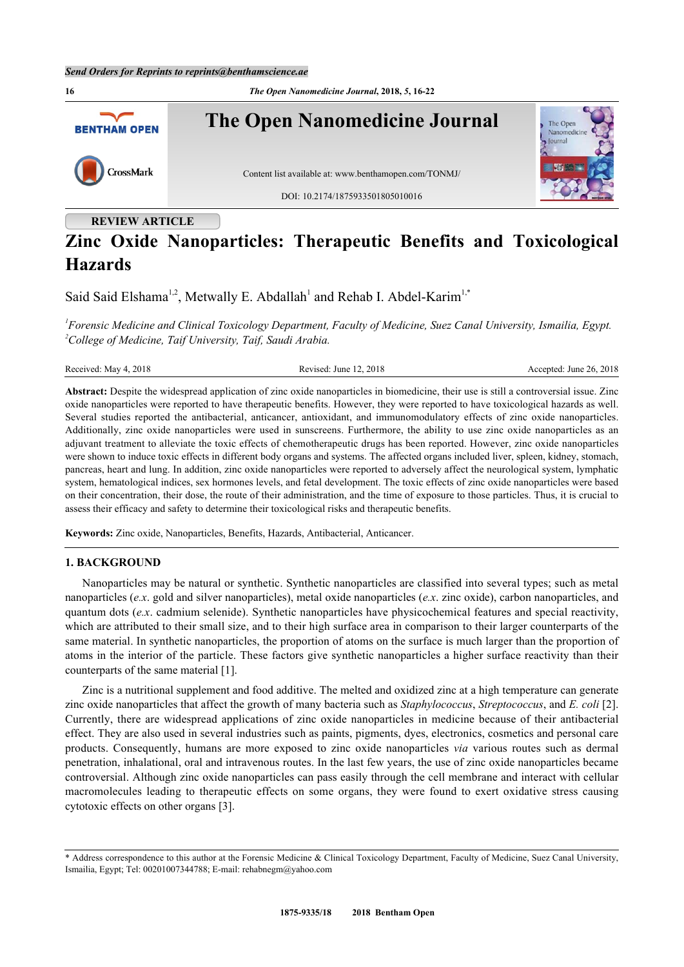

## **REVIEW ARTICLE**

# **Zinc Oxide Nanoparticles: Therapeutic Benefits and Toxicological Hazards**

Said Said Elshama<sup>[1,](#page-0-0)[2](#page-0-1)</sup>, Metwally E. Abdallah<sup>[1](#page-0-0)</sup> and Rehab I. Abdel-Karim<sup>1[,\\*](#page-0-2)</sup>

<span id="page-0-1"></span><span id="page-0-0"></span>*1 Forensic Medicine and Clinical Toxicology Department, Faculty of Medicine, Suez Canal University, Ismailia, Egypt. <sup>2</sup>College of Medicine, Taif University, Taif, Saudi Arabia.*

| Received: May 4, 2018 |  |  |
|-----------------------|--|--|
|                       |  |  |

Revised: June 12, 2018 Accepted: June 26, 2018

**Abstract:** Despite the widespread application of zinc oxide nanoparticles in biomedicine, their use is still a controversial issue. Zinc oxide nanoparticles were reported to have therapeutic benefits. However, they were reported to have toxicological hazards as well. Several studies reported the antibacterial, anticancer, antioxidant, and immunomodulatory effects of zinc oxide nanoparticles. Additionally, zinc oxide nanoparticles were used in sunscreens. Furthermore, the ability to use zinc oxide nanoparticles as an adjuvant treatment to alleviate the toxic effects of chemotherapeutic drugs has been reported. However, zinc oxide nanoparticles were shown to induce toxic effects in different body organs and systems. The affected organs included liver, spleen, kidney, stomach, pancreas, heart and lung. In addition, zinc oxide nanoparticles were reported to adversely affect the neurological system, lymphatic system, hematological indices, sex hormones levels, and fetal development. The toxic effects of zinc oxide nanoparticles were based on their concentration, their dose, the route of their administration, and the time of exposure to those particles. Thus, it is crucial to assess their efficacy and safety to determine their toxicological risks and therapeutic benefits.

**Keywords:** Zinc oxide, Nanoparticles, Benefits, Hazards, Antibacterial, Anticancer.

#### **1. BACKGROUND**

Nanoparticles may be natural or synthetic. Synthetic nanoparticles are classified into several types; such as metal nanoparticles (*e.x*. gold and silver nanoparticles), metal oxide nanoparticles (*e.x*. zinc oxide), carbon nanoparticles, and quantum dots (*e.x*. cadmium selenide). Synthetic nanoparticles have physicochemical features and special reactivity, which are attributed to their small size, and to their high surface area in comparison to their larger counterparts of the same material. In synthetic nanoparticles, the proportion of atoms on the surface is much larger than the proportion of atoms in the interior of the particle. These factors give synthetic nanoparticles a higher surface reactivity than their counterparts of the same material [[1\]](#page-3-0).

Zinc is a nutritional supplement and food additive. The melted and oxidized zinc at a high temperature can generate zinc oxide nanoparticles that affect the growth of many bacteria such as *Staphylococcus*, *Streptococcus*, and *E. coli* [[2\]](#page-4-0). Currently, there are widespread applications of zinc oxide nanoparticles in medicine because of their antibacterial effect. They are also used in several industries such as paints, pigments, dyes, electronics, cosmetics and personal care products. Consequently, humans are more exposed to zinc oxide nanoparticles *via* various routes such as dermal penetration, inhalational, oral and intravenous routes. In the last few years, the use of zinc oxide nanoparticles became controversial. Although zinc oxide nanoparticles can pass easily through the cell membrane and interact with cellular macromolecules leading to therapeutic effects on some organs, they were found to exert oxidative stress causing cytotoxic effects on other organs [[3\]](#page-4-1).

<span id="page-0-2"></span><sup>\*</sup> Address correspondence to this author at the Forensic Medicine & Clinical Toxicology Department, Faculty of Medicine, Suez Canal University, Ismailia, Egypt; Tel: 00201007344788; E-mail: [rehabnegm@yahoo.com](mailto:rehabnegm@yahoo.com)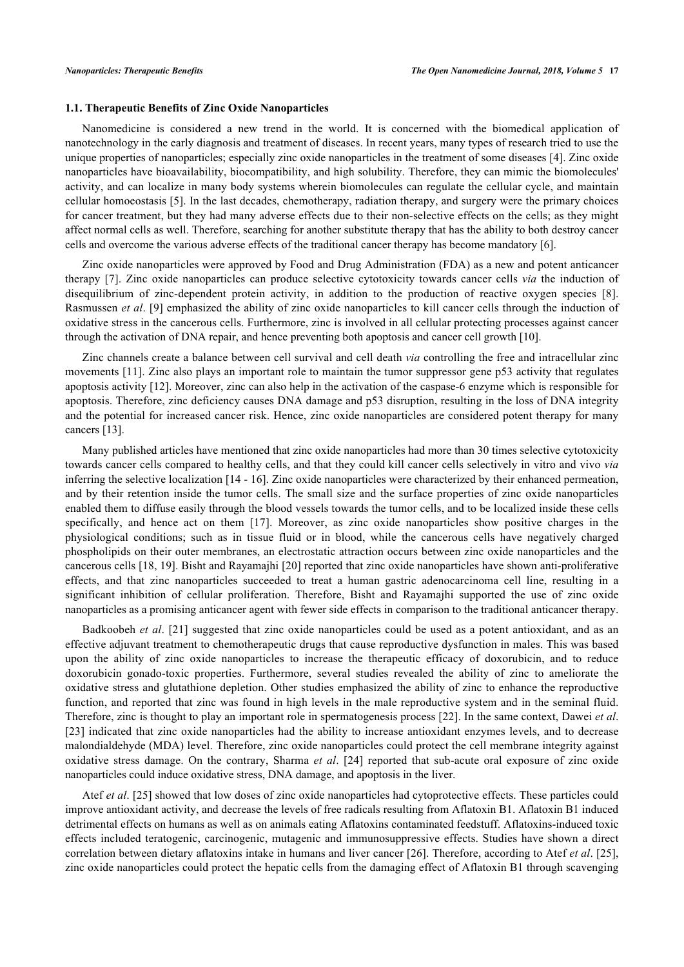#### **1.1. Therapeutic Benefits of Zinc Oxide Nanoparticles**

Nanomedicine is considered a new trend in the world. It is concerned with the biomedical application of nanotechnology in the early diagnosis and treatment of diseases. In recent years, many types of research tried to use the unique properties of nanoparticles; especially zinc oxide nanoparticles in the treatment of some diseases [[4\]](#page-4-2). Zinc oxide nanoparticles have bioavailability, biocompatibility, and high solubility. Therefore, they can mimic the biomolecules' activity, and can localize in many body systems wherein biomolecules can regulate the cellular cycle, and maintain cellular homoeostasis [\[5](#page-4-3)]. In the last decades, chemotherapy, radiation therapy, and surgery were the primary choices for cancer treatment, but they had many adverse effects due to their non-selective effects on the cells; as they might affect normal cells as well. Therefore, searching for another substitute therapy that has the ability to both destroy cancer cells and overcome the various adverse effects of the traditional cancer therapy has become mandatory [[6\]](#page-4-4).

Zinc oxide nanoparticles were approved by Food and Drug Administration (FDA) as a new and potent anticancer therapy[[7\]](#page-4-5). Zinc oxide nanoparticles can produce selective cytotoxicity towards cancer cells *via* the induction of disequilibriumof zinc-dependent protein activity, in addition to the production of reactive oxygen species [[8\]](#page-4-6). Rasmussen *et al*. [[9\]](#page-4-7) emphasized the ability of zinc oxide nanoparticles to kill cancer cells through the induction of oxidative stress in the cancerous cells. Furthermore, zinc is involved in all cellular protecting processes against cancer through the activation of DNA repair, and hence preventing both apoptosis and cancer cell growth [\[10](#page-4-8)].

Zinc channels create a balance between cell survival and cell death *via* controlling the free and intracellular zinc movements [\[11](#page-4-9)]. Zinc also plays an important role to maintain the tumor suppressor gene p53 activity that regulates apoptosis activity [[12\]](#page-4-10). Moreover, zinc can also help in the activation of the caspase-6 enzyme which is responsible for apoptosis. Therefore, zinc deficiency causes DNA damage and p53 disruption, resulting in the loss of DNA integrity and the potential for increased cancer risk. Hence, zinc oxide nanoparticles are considered potent therapy for many cancers [[13\]](#page-4-11).

Many published articles have mentioned that zinc oxide nanoparticles had more than 30 times selective cytotoxicity towards cancer cells compared to healthy cells, and that they could kill cancer cells selectively in vitro and vivo *via* inferring the selective localization [[14](#page-4-12) - [16](#page-4-13)]. Zinc oxide nanoparticles were characterized by their enhanced permeation, and by their retention inside the tumor cells. The small size and the surface properties of zinc oxide nanoparticles enabled them to diffuse easily through the blood vessels towards the tumor cells, and to be localized inside these cells specifically, and hence act on them[[17](#page-4-14)]. Moreover, as zinc oxide nanoparticles show positive charges in the physiological conditions; such as in tissue fluid or in blood, while the cancerous cells have negatively charged phospholipids on their outer membranes, an electrostatic attraction occurs between zinc oxide nanoparticles and the cancerous cells [\[18](#page-4-15), [19](#page-4-16)]. Bisht and Rayamajhi [[20\]](#page-4-17) reported that zinc oxide nanoparticles have shown anti-proliferative effects, and that zinc nanoparticles succeeded to treat a human gastric adenocarcinoma cell line, resulting in a significant inhibition of cellular proliferation. Therefore, Bisht and Rayamajhi supported the use of zinc oxide nanoparticles as a promising anticancer agent with fewer side effects in comparison to the traditional anticancer therapy.

Badkoobeh *et al*. [\[21](#page-4-18)] suggested that zinc oxide nanoparticles could be used as a potent antioxidant, and as an effective adjuvant treatment to chemotherapeutic drugs that cause reproductive dysfunction in males. This was based upon the ability of zinc oxide nanoparticles to increase the therapeutic efficacy of doxorubicin, and to reduce doxorubicin gonado-toxic properties. Furthermore, several studies revealed the ability of zinc to ameliorate the oxidative stress and glutathione depletion. Other studies emphasized the ability of zinc to enhance the reproductive function, and reported that zinc was found in high levels in the male reproductive system and in the seminal fluid. Therefore, zinc is thought to play an important role in spermatogenesis process [\[22](#page-4-19)]. In the same context, Dawei *et al*. [\[23](#page-4-20)] indicated that zinc oxide nanoparticles had the ability to increase antioxidant enzymes levels, and to decrease malondialdehyde (MDA) level. Therefore, zinc oxide nanoparticles could protect the cell membrane integrity against oxidative stress damage. On the contrary, Sharma *et al*.[[24\]](#page-5-0) reported that sub-acute oral exposure of zinc oxide nanoparticles could induce oxidative stress, DNA damage, and apoptosis in the liver.

Atef *et al*. [[25](#page-5-1)] showed that low doses of zinc oxide nanoparticles had cytoprotective effects. These particles could improve antioxidant activity, and decrease the levels of free radicals resulting from Aflatoxin B1. Aflatoxin B1 induced detrimental effects on humans as well as on animals eating Aflatoxins contaminated feedstuff. Aflatoxins-induced toxic effects included teratogenic, carcinogenic, mutagenic and immunosuppressive effects. Studies have shown a direct correlation between dietary aflatoxins intake in humans and liver cancer [[26\]](#page-5-2). Therefore, according to Atef *et al*. [[25\]](#page-5-1), zinc oxide nanoparticles could protect the hepatic cells from the damaging effect of Aflatoxin B1 through scavenging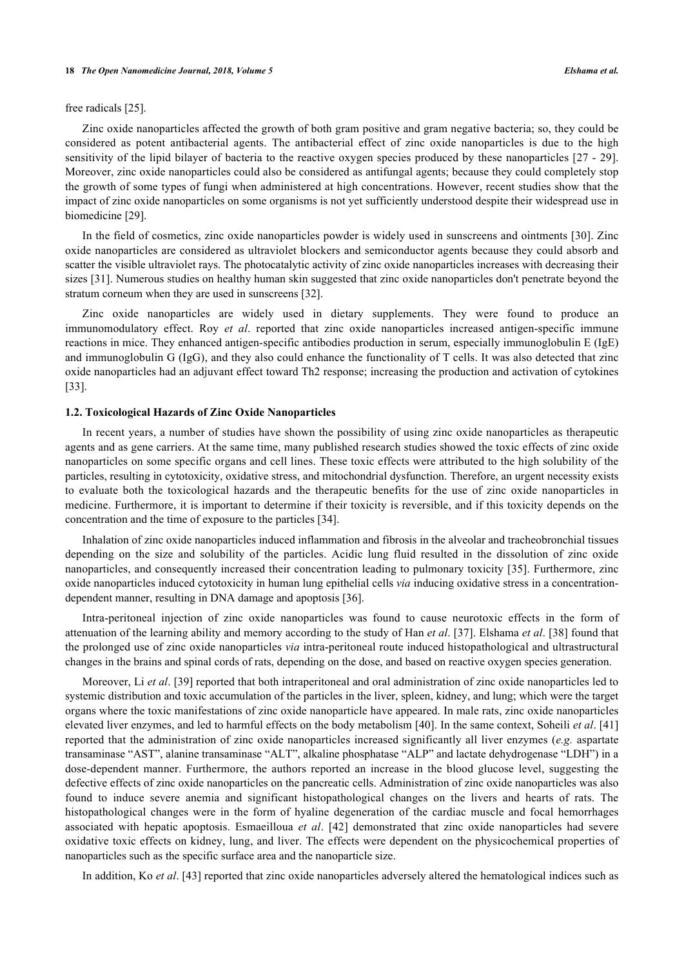#### **18** *The Open Nanomedicine Journal, 2018, Volume 5 Elshama et al.*

#### free radicals [[25\]](#page-5-1).

Zinc oxide nanoparticles affected the growth of both gram positive and gram negative bacteria; so, they could be considered as potent antibacterial agents. The antibacterial effect of zinc oxide nanoparticles is due to the high sensitivity of the lipid bilayer of bacteria to the reactive oxygen species produced by these nanoparticles [[27](#page-5-3) - [29\]](#page-5-4). Moreover, zinc oxide nanoparticles could also be considered as antifungal agents; because they could completely stop the growth of some types of fungi when administered at high concentrations. However, recent studies show that the impact of zinc oxide nanoparticles on some organisms is not yet sufficiently understood despite their widespread use in biomedicine [[29\]](#page-5-4).

In the field of cosmetics, zinc oxide nanoparticles powder is widely used in sunscreens and ointments [[30\]](#page-5-5). Zinc oxide nanoparticles are considered as ultraviolet blockers and semiconductor agents because they could absorb and scatter the visible ultraviolet rays. The photocatalytic activity of zinc oxide nanoparticles increases with decreasing their sizes [\[31](#page-5-6)]. Numerous studies on healthy human skin suggested that zinc oxide nanoparticles don't penetrate beyond the stratum corneum when they are used in sunscreens [[32\]](#page-5-7).

Zinc oxide nanoparticles are widely used in dietary supplements. They were found to produce an immunomodulatory effect. Roy *et al*. reported that zinc oxide nanoparticles increased antigen-specific immune reactions in mice. They enhanced antigen-specific antibodies production in serum, especially immunoglobulin E (IgE) and immunoglobulin G (IgG), and they also could enhance the functionality of T cells. It was also detected that zinc oxide nanoparticles had an adjuvant effect toward Th2 response; increasing the production and activation of cytokines [\[33](#page-5-8)].

#### **1.2. Toxicological Hazards of Zinc Oxide Nanoparticles**

In recent years, a number of studies have shown the possibility of using zinc oxide nanoparticles as therapeutic agents and as gene carriers. At the same time, many published research studies showed the toxic effects of zinc oxide nanoparticles on some specific organs and cell lines. These toxic effects were attributed to the high solubility of the particles, resulting in cytotoxicity, oxidative stress, and mitochondrial dysfunction. Therefore, an urgent necessity exists to evaluate both the toxicological hazards and the therapeutic benefits for the use of zinc oxide nanoparticles in medicine. Furthermore, it is important to determine if their toxicity is reversible, and if this toxicity depends on the concentration and the time of exposure to the particles [[34\]](#page-5-9).

Inhalation of zinc oxide nanoparticles induced inflammation and fibrosis in the alveolar and tracheobronchial tissues depending on the size and solubility of the particles. Acidic lung fluid resulted in the dissolution of zinc oxide nanoparticles, and consequently increased their concentration leading to pulmonary toxicity [\[35](#page-5-10)]. Furthermore, zinc oxide nanoparticles induced cytotoxicity in human lung epithelial cells *via* inducing oxidative stress in a concentrationdependent manner, resulting in DNA damage and apoptosis [\[36](#page-5-11)].

Intra-peritoneal injection of zinc oxide nanoparticles was found to cause neurotoxic effects in the form of attenuation of the learning ability and memory according to the study of Han *et al*. [\[37](#page-5-12)]. Elshama *et al*. [[38](#page-5-13)] found that the prolonged use of zinc oxide nanoparticles *via* intra-peritoneal route induced histopathological and ultrastructural changes in the brains and spinal cords of rats, depending on the dose, and based on reactive oxygen species generation.

Moreover, Li *et al*. [[39\]](#page-5-14) reported that both intraperitoneal and oral administration of zinc oxide nanoparticles led to systemic distribution and toxic accumulation of the particles in the liver, spleen, kidney, and lung; which were the target organs where the toxic manifestations of zinc oxide nanoparticle have appeared. In male rats, zinc oxide nanoparticles elevated liver enzymes, and led to harmful effects on the body metabolism [[40\]](#page-5-15). In the same context, Soheili *et al*. [\[41](#page-5-16)] reported that the administration of zinc oxide nanoparticles increased significantly all liver enzymes (*e.g.* aspartate transaminase "AST", alanine transaminase "ALT", alkaline phosphatase "ALP" and lactate dehydrogenase "LDH") in a dose-dependent manner. Furthermore, the authors reported an increase in the blood glucose level, suggesting the defective effects of zinc oxide nanoparticles on the pancreatic cells. Administration of zinc oxide nanoparticles was also found to induce severe anemia and significant histopathological changes on the livers and hearts of rats. The histopathological changes were in the form of hyaline degeneration of the cardiac muscle and focal hemorrhages associated with hepatic apoptosis. Esmaeilloua *et al*.[[42\]](#page-5-17) demonstrated that zinc oxide nanoparticles had severe oxidative toxic effects on kidney, lung, and liver. The effects were dependent on the physicochemical properties of nanoparticles such as the specific surface area and the nanoparticle size.

In addition, Ko *et al*. [[43\]](#page-5-18) reported that zinc oxide nanoparticles adversely altered the hematological indices such as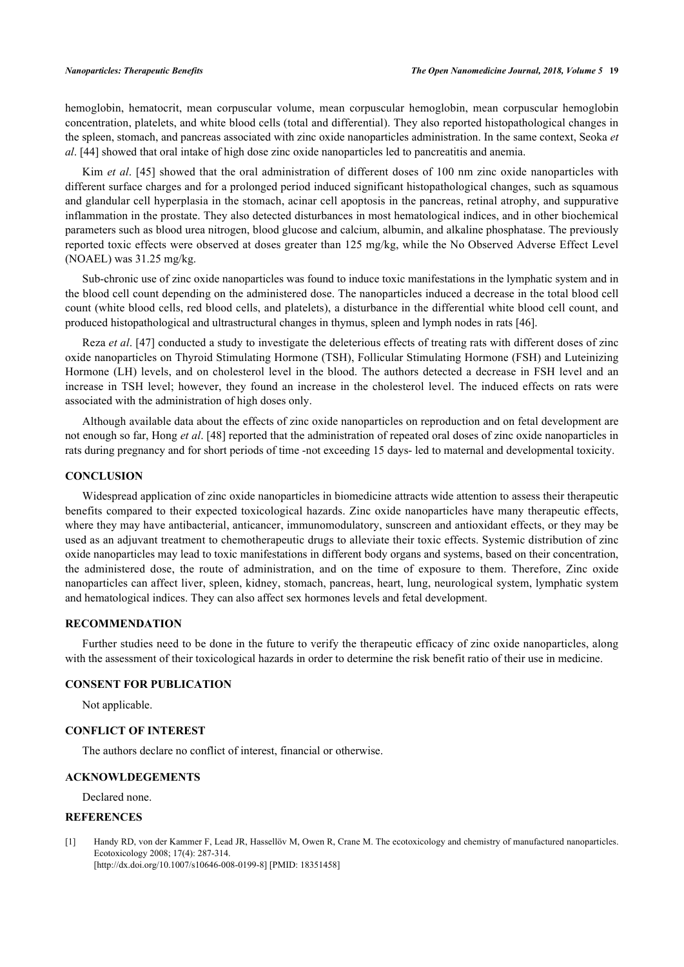hemoglobin, hematocrit, mean corpuscular volume, mean corpuscular hemoglobin, mean corpuscular hemoglobin concentration, platelets, and white blood cells (total and differential). They also reported histopathological changes in the spleen, stomach, and pancreas associated with zinc oxide nanoparticles administration. In the same context, Seoka *et al*. [[44\]](#page-5-19) showed that oral intake of high dose zinc oxide nanoparticles led to pancreatitis and anemia.

Kim *et al.* [[45](#page-6-0)] showed that the oral administration of different doses of 100 nm zinc oxide nanoparticles with different surface charges and for a prolonged period induced significant histopathological changes, such as squamous and glandular cell hyperplasia in the stomach, acinar cell apoptosis in the pancreas, retinal atrophy, and suppurative inflammation in the prostate. They also detected disturbances in most hematological indices, and in other biochemical parameters such as blood urea nitrogen, blood glucose and calcium, albumin, and alkaline phosphatase. The previously reported toxic effects were observed at doses greater than 125 mg/kg, while the No Observed Adverse Effect Level (NOAEL) was 31.25 mg/kg.

Sub-chronic use of zinc oxide nanoparticles was found to induce toxic manifestations in the lymphatic system and in the blood cell count depending on the administered dose. The nanoparticles induced a decrease in the total blood cell count (white blood cells, red blood cells, and platelets), a disturbance in the differential white blood cell count, and produced histopathological and ultrastructural changes in thymus, spleen and lymph nodes in rats [\[46](#page-6-1)].

Reza *et al*. [\[47\]](#page-6-2) conducted a study to investigate the deleterious effects of treating rats with different doses of zinc oxide nanoparticles on Thyroid Stimulating Hormone (TSH), Follicular Stimulating Hormone (FSH) and Luteinizing Hormone (LH) levels, and on cholesterol level in the blood. The authors detected a decrease in FSH level and an increase in TSH level; however, they found an increase in the cholesterol level. The induced effects on rats were associated with the administration of high doses only.

Although available data about the effects of zinc oxide nanoparticles on reproduction and on fetal development are not enough so far, Hong *et al*. [\[48](#page-6-3)] reported that the administration of repeated oral doses of zinc oxide nanoparticles in rats during pregnancy and for short periods of time -not exceeding 15 days- led to maternal and developmental toxicity.

## **CONCLUSION**

Widespread application of zinc oxide nanoparticles in biomedicine attracts wide attention to assess their therapeutic benefits compared to their expected toxicological hazards. Zinc oxide nanoparticles have many therapeutic effects, where they may have antibacterial, anticancer, immunomodulatory, sunscreen and antioxidant effects, or they may be used as an adjuvant treatment to chemotherapeutic drugs to alleviate their toxic effects. Systemic distribution of zinc oxide nanoparticles may lead to toxic manifestations in different body organs and systems, based on their concentration, the administered dose, the route of administration, and on the time of exposure to them. Therefore, Zinc oxide nanoparticles can affect liver, spleen, kidney, stomach, pancreas, heart, lung, neurological system, lymphatic system and hematological indices. They can also affect sex hormones levels and fetal development.

## **RECOMMENDATION**

Further studies need to be done in the future to verify the therapeutic efficacy of zinc oxide nanoparticles, along with the assessment of their toxicological hazards in order to determine the risk benefit ratio of their use in medicine.

#### **CONSENT FOR PUBLICATION**

Not applicable.

#### **CONFLICT OF INTEREST**

The authors declare no conflict of interest, financial or otherwise.

## **ACKNOWLDEGEMENTS**

Declared none.

### **REFERENCES**

<span id="page-3-0"></span>[1] Handy RD, von der Kammer F, Lead JR, Hassellöv M, Owen R, Crane M. The ecotoxicology and chemistry of manufactured nanoparticles. Ecotoxicology 2008; 17(4): 287-314. [\[http://dx.doi.org/10.1007/s10646-008-0199-8\]](http://dx.doi.org/10.1007/s10646-008-0199-8) [PMID: [18351458](http://www.ncbi.nlm.nih.gov/pubmed/18351458)]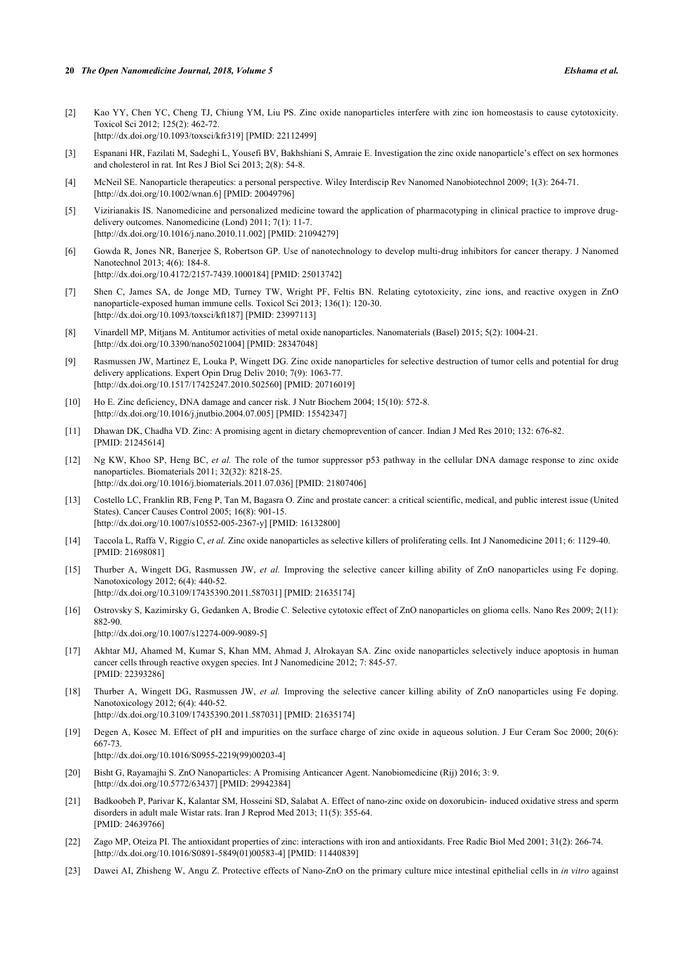- 
- <span id="page-4-0"></span>[2] Kao YY, Chen YC, Cheng TJ, Chiung YM, Liu PS. Zinc oxide nanoparticles interfere with zinc ion homeostasis to cause cytotoxicity. Toxicol Sci 2012; 125(2): 462-72. [\[http://dx.doi.org/10.1093/toxsci/kfr319](http://dx.doi.org/10.1093/toxsci/kfr319)] [PMID: [22112499](http://www.ncbi.nlm.nih.gov/pubmed/22112499)]
- <span id="page-4-1"></span>[3] Espanani HR, Fazilati M, Sadeghi L, Yousefi BV, Bakhshiani S, Amraie E. Investigation the zinc oxide nanoparticle's effect on sex hormones and cholesterol in rat. Int Res J Biol Sci 2013; 2(8): 54-8.
- <span id="page-4-2"></span>[4] McNeil SE. Nanoparticle therapeutics: a personal perspective. Wiley Interdiscip Rev Nanomed Nanobiotechnol 2009; 1(3): 264-71. [\[http://dx.doi.org/10.1002/wnan.6](http://dx.doi.org/10.1002/wnan.6)] [PMID: [20049796\]](http://www.ncbi.nlm.nih.gov/pubmed/20049796)
- <span id="page-4-3"></span>[5] Vizirianakis IS. Nanomedicine and personalized medicine toward the application of pharmacotyping in clinical practice to improve drugdelivery outcomes. Nanomedicine (Lond) 2011; 7(1): 11-7. [\[http://dx.doi.org/10.1016/j.nano.2010.11.002\]](http://dx.doi.org/10.1016/j.nano.2010.11.002) [PMID: [21094279](http://www.ncbi.nlm.nih.gov/pubmed/21094279)]
- <span id="page-4-4"></span>[6] Gowda R, Jones NR, Banerjee S, Robertson GP. Use of nanotechnology to develop multi-drug inhibitors for cancer therapy. J Nanomed Nanotechnol 2013; 4(6): 184-8. [\[http://dx.doi.org/10.4172/2157-7439.1000184](http://dx.doi.org/10.4172/2157-7439.1000184)] [PMID: [25013742](http://www.ncbi.nlm.nih.gov/pubmed/25013742)]
- <span id="page-4-5"></span>[7] Shen C, James SA, de Jonge MD, Turney TW, Wright PF, Feltis BN. Relating cytotoxicity, zinc ions, and reactive oxygen in ZnO nanoparticle-exposed human immune cells. Toxicol Sci 2013; 136(1): 120-30. [\[http://dx.doi.org/10.1093/toxsci/kft187](http://dx.doi.org/10.1093/toxsci/kft187)] [PMID: [23997113\]](http://www.ncbi.nlm.nih.gov/pubmed/23997113)
- <span id="page-4-6"></span>[8] Vinardell MP, Mitjans M. Antitumor activities of metal oxide nanoparticles. Nanomaterials (Basel) 2015; 5(2): 1004-21. [\[http://dx.doi.org/10.3390/nano5021004](http://dx.doi.org/10.3390/nano5021004)] [PMID: [28347048\]](http://www.ncbi.nlm.nih.gov/pubmed/28347048)
- <span id="page-4-7"></span>[9] Rasmussen JW, Martinez E, Louka P, Wingett DG. Zinc oxide nanoparticles for selective destruction of tumor cells and potential for drug delivery applications. Expert Opin Drug Deliv 2010; 7(9): 1063-77. [\[http://dx.doi.org/10.1517/17425247.2010.502560\]](http://dx.doi.org/10.1517/17425247.2010.502560) [PMID: [20716019](http://www.ncbi.nlm.nih.gov/pubmed/20716019)]
- <span id="page-4-8"></span>[10] Ho E. Zinc deficiency, DNA damage and cancer risk. J Nutr Biochem 2004; 15(10): 572-8. [\[http://dx.doi.org/10.1016/j.jnutbio.2004.07.005\]](http://dx.doi.org/10.1016/j.jnutbio.2004.07.005) [PMID: [15542347](http://www.ncbi.nlm.nih.gov/pubmed/15542347)]
- <span id="page-4-9"></span>[11] Dhawan DK, Chadha VD. Zinc: A promising agent in dietary chemoprevention of cancer. Indian J Med Res 2010; 132: 676-82. [PMID: [21245614\]](http://www.ncbi.nlm.nih.gov/pubmed/21245614)
- <span id="page-4-10"></span>[12] Ng KW, Khoo SP, Heng BC, *et al.* The role of the tumor suppressor p53 pathway in the cellular DNA damage response to zinc oxide nanoparticles. Biomaterials 2011; 32(32): 8218-25. [\[http://dx.doi.org/10.1016/j.biomaterials.2011.07.036\]](http://dx.doi.org/10.1016/j.biomaterials.2011.07.036) [PMID: [21807406](http://www.ncbi.nlm.nih.gov/pubmed/21807406)]
- <span id="page-4-11"></span>[13] Costello LC, Franklin RB, Feng P, Tan M, Bagasra O. Zinc and prostate cancer: a critical scientific, medical, and public interest issue (United States). Cancer Causes Control 2005; 16(8): 901-15. [\[http://dx.doi.org/10.1007/s10552-005-2367-y\]](http://dx.doi.org/10.1007/s10552-005-2367-y) [PMID: [16132800](http://www.ncbi.nlm.nih.gov/pubmed/16132800)]
- <span id="page-4-12"></span>[14] Taccola L, Raffa V, Riggio C, *et al.* Zinc oxide nanoparticles as selective killers of proliferating cells. Int J Nanomedicine 2011; 6: 1129-40. [PMID: [21698081\]](http://www.ncbi.nlm.nih.gov/pubmed/21698081)
- [15] Thurber A, Wingett DG, Rasmussen JW, *et al.* Improving the selective cancer killing ability of ZnO nanoparticles using Fe doping. Nanotoxicology 2012; 6(4): 440-52. [\[http://dx.doi.org/10.3109/17435390.2011.587031\]](http://dx.doi.org/10.3109/17435390.2011.587031) [PMID: [21635174](http://www.ncbi.nlm.nih.gov/pubmed/21635174)]
- <span id="page-4-13"></span>[16] Ostrovsky S, Kazimirsky G, Gedanken A, Brodie C. Selective cytotoxic effect of ZnO nanoparticles on glioma cells. Nano Res 2009; 2(11): 882-90. [\[http://dx.doi.org/10.1007/s12274-009-9089-5\]](http://dx.doi.org/10.1007/s12274-009-9089-5)
- <span id="page-4-14"></span>[17] Akhtar MJ, Ahamed M, Kumar S, Khan MM, Ahmad J, Alrokayan SA. Zinc oxide nanoparticles selectively induce apoptosis in human cancer cells through reactive oxygen species. Int J Nanomedicine 2012; 7: 845-57. [PMID: [22393286\]](http://www.ncbi.nlm.nih.gov/pubmed/22393286)
- <span id="page-4-15"></span>[18] Thurber A, Wingett DG, Rasmussen JW, *et al.* Improving the selective cancer killing ability of ZnO nanoparticles using Fe doping. Nanotoxicology 2012; 6(4): 440-52. [\[http://dx.doi.org/10.3109/17435390.2011.587031\]](http://dx.doi.org/10.3109/17435390.2011.587031) [PMID: [21635174](http://www.ncbi.nlm.nih.gov/pubmed/21635174)]
- <span id="page-4-16"></span>[19] Degen A, Kosec M. Effect of pH and impurities on the surface charge of zinc oxide in aqueous solution. J Eur Ceram Soc 2000; 20(6): 667-73. [\[http://dx.doi.org/10.1016/S0955-2219\(99\)00203-4\]](http://dx.doi.org/10.1016/S0955-2219(99)00203-4)
- <span id="page-4-17"></span>[20] Bisht G, Rayamajhi S. ZnO Nanoparticles: A Promising Anticancer Agent. Nanobiomedicine (Rij) 2016; 3: 9. [\[http://dx.doi.org/10.5772/63437\]](http://dx.doi.org/10.5772/63437) [PMID: [29942384](http://www.ncbi.nlm.nih.gov/pubmed/29942384)]
- <span id="page-4-18"></span>[21] Badkoobeh P, Parivar K, Kalantar SM, Hosseini SD, Salabat A. Effect of nano-zinc oxide on doxorubicin- induced oxidative stress and sperm disorders in adult male Wistar rats. Iran J Reprod Med 2013; 11(5): 355-64. [PMID: [24639766\]](http://www.ncbi.nlm.nih.gov/pubmed/24639766)
- <span id="page-4-19"></span>[22] Zago MP, Oteiza PI. The antioxidant properties of zinc: interactions with iron and antioxidants. Free Radic Biol Med 2001; 31(2): 266-74. [\[http://dx.doi.org/10.1016/S0891-5849\(01\)00583-4\]](http://dx.doi.org/10.1016/S0891-5849(01)00583-4) [PMID: [11440839](http://www.ncbi.nlm.nih.gov/pubmed/11440839)]
- <span id="page-4-20"></span>[23] Dawei AI, Zhisheng W, Angu Z. Protective effects of Nano-ZnO on the primary culture mice intestinal epithelial cells in *in vitro* against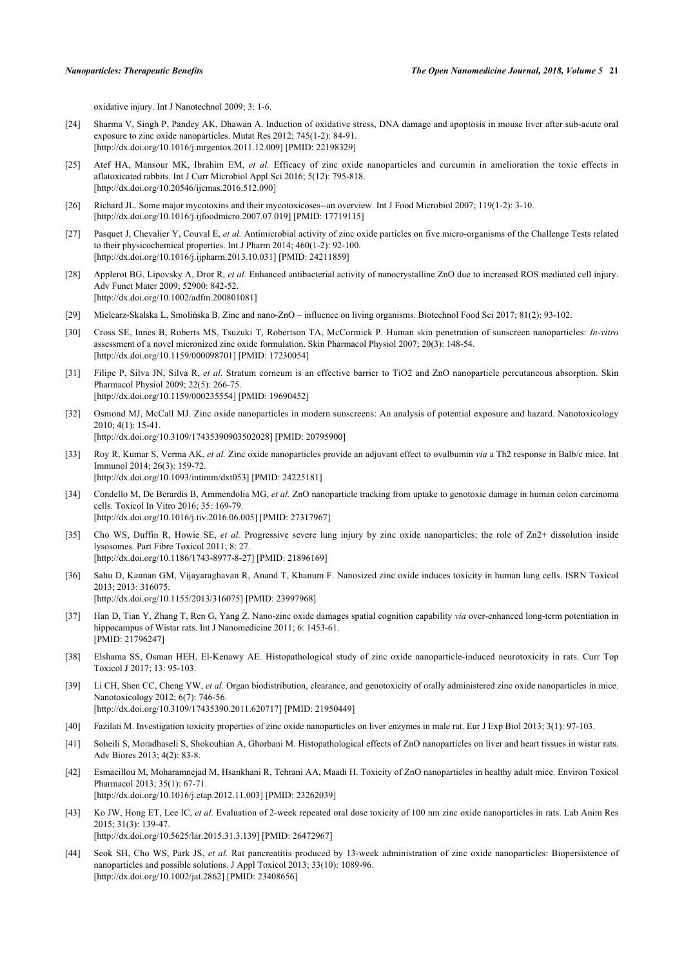oxidative injury. Int J Nanotechnol 2009; 3: 1-6.

- <span id="page-5-0"></span>[24] Sharma V, Singh P, Pandey AK, Dhawan A. Induction of oxidative stress, DNA damage and apoptosis in mouse liver after sub-acute oral exposure to zinc oxide nanoparticles. Mutat Res 2012; 745(1-2): 84-91. [\[http://dx.doi.org/10.1016/j.mrgentox.2011.12.009\]](http://dx.doi.org/10.1016/j.mrgentox.2011.12.009) [PMID: [22198329](http://www.ncbi.nlm.nih.gov/pubmed/22198329)]
- <span id="page-5-1"></span>[25] Atef HA, Mansour MK, Ibrahim EM, *et al.* Efficacy of zinc oxide nanoparticles and curcumin in amelioration the toxic effects in aflatoxicated rabbits. Int J Curr Microbiol Appl Sci 2016; 5(12): 795-818. [\[http://dx.doi.org/10.20546/ijcmas.2016.512.090\]](http://dx.doi.org/10.20546/ijcmas.2016.512.090)
- <span id="page-5-2"></span>[26] Richard JL. Some major mycotoxins and their mycotoxicoses--an overview. Int J Food Microbiol 2007; 119(1-2): 3-10. [\[http://dx.doi.org/10.1016/j.ijfoodmicro.2007.07.019\]](http://dx.doi.org/10.1016/j.ijfoodmicro.2007.07.019) [PMID: [17719115](http://www.ncbi.nlm.nih.gov/pubmed/17719115)]
- <span id="page-5-3"></span>[27] Pasquet J, Chevalier Y, Couval E, *et al.* Antimicrobial activity of zinc oxide particles on five micro-organisms of the Challenge Tests related to their physicochemical properties. Int J Pharm 2014; 460(1-2): 92-100. [\[http://dx.doi.org/10.1016/j.ijpharm.2013.10.031\]](http://dx.doi.org/10.1016/j.ijpharm.2013.10.031) [PMID: [24211859](http://www.ncbi.nlm.nih.gov/pubmed/24211859)]
- [28] Applerot BG, Lipovsky A, Dror R, *et al.* Enhanced antibacterial activity of nanocrystalline ZnO due to increased ROS mediated cell injury. Adv Funct Mater 2009; 52900: 842-52. [\[http://dx.doi.org/10.1002/adfm.200801081](http://dx.doi.org/10.1002/adfm.200801081)]
- <span id="page-5-4"></span>[29] Mielcarz-Skalska L, Smolińska B. Zinc and nano-ZnO – influence on living organisms. Biotechnol Food Sci 2017; 81(2): 93-102.
- <span id="page-5-5"></span>[30] Cross SE, Innes B, Roberts MS, Tsuzuki T, Robertson TA, McCormick P. Human skin penetration of sunscreen nanoparticles: *In-vitro* assessment of a novel micronized zinc oxide formulation. Skin Pharmacol Physiol 2007; 20(3): 148-54. [\[http://dx.doi.org/10.1159/000098701\]](http://dx.doi.org/10.1159/000098701) [PMID: [17230054](http://www.ncbi.nlm.nih.gov/pubmed/17230054)]
- <span id="page-5-6"></span>[31] Filipe P, Silva JN, Silva R, *et al.* Stratum corneum is an effective barrier to TiO2 and ZnO nanoparticle percutaneous absorption. Skin Pharmacol Physiol 2009; 22(5): 266-75. [\[http://dx.doi.org/10.1159/000235554\]](http://dx.doi.org/10.1159/000235554) [PMID: [19690452](http://www.ncbi.nlm.nih.gov/pubmed/19690452)]
- <span id="page-5-7"></span>[32] Osmond MJ, McCall MJ. Zinc oxide nanoparticles in modern sunscreens: An analysis of potential exposure and hazard. Nanotoxicology 2010; 4(1): 15-41. [\[http://dx.doi.org/10.3109/17435390903502028\]](http://dx.doi.org/10.3109/17435390903502028) [PMID: [20795900](http://www.ncbi.nlm.nih.gov/pubmed/20795900)]
- <span id="page-5-8"></span>[33] Roy R, Kumar S, Verma AK, *et al.* Zinc oxide nanoparticles provide an adjuvant effect to ovalbumin *via* a Th2 response in Balb/c mice. Int Immunol 2014; 26(3): 159-72. [\[http://dx.doi.org/10.1093/intimm/dxt053](http://dx.doi.org/10.1093/intimm/dxt053)] [PMID: [24225181\]](http://www.ncbi.nlm.nih.gov/pubmed/24225181)
- <span id="page-5-9"></span>[34] Condello M, De Berardis B, Ammendolia MG, *et al.* ZnO nanoparticle tracking from uptake to genotoxic damage in human colon carcinoma cells. Toxicol In Vitro 2016; 35: 169-79. [\[http://dx.doi.org/10.1016/j.tiv.2016.06.005](http://dx.doi.org/10.1016/j.tiv.2016.06.005)] [PMID: [27317967](http://www.ncbi.nlm.nih.gov/pubmed/27317967)]
- <span id="page-5-10"></span>[35] Cho WS, Duffin R, Howie SE, *et al.* Progressive severe lung injury by zinc oxide nanoparticles; the role of Zn2+ dissolution inside lysosomes. Part Fibre Toxicol 2011; 8: 27. [\[http://dx.doi.org/10.1186/1743-8977-8-27\]](http://dx.doi.org/10.1186/1743-8977-8-27) [PMID: [21896169](http://www.ncbi.nlm.nih.gov/pubmed/21896169)]
- <span id="page-5-11"></span>[36] Sahu D, Kannan GM, Vijayaraghavan R, Anand T, Khanum F. Nanosized zinc oxide induces toxicity in human lung cells. ISRN Toxicol 2013; 2013: 316075. [\[http://dx.doi.org/10.1155/2013/316075](http://dx.doi.org/10.1155/2013/316075)] [PMID: [23997968\]](http://www.ncbi.nlm.nih.gov/pubmed/23997968)
- <span id="page-5-12"></span>[37] Han D, Tian Y, Zhang T, Ren G, Yang Z. Nano-zinc oxide damages spatial cognition capability *via* over-enhanced long-term potentiation in hippocampus of Wistar rats. Int J Nanomedicine 2011; 6: 1453-61. [PMID: [21796247\]](http://www.ncbi.nlm.nih.gov/pubmed/21796247)
- <span id="page-5-13"></span>[38] Elshama SS, Osman HEH, El-Kenawy AE. Histopathological study of zinc oxide nanoparticle-induced neurotoxicity in rats. Curr Top Toxicol J 2017; 13: 95-103.
- <span id="page-5-14"></span>[39] Li CH, Shen CC, Cheng YW, *et al.* Organ biodistribution, clearance, and genotoxicity of orally administered zinc oxide nanoparticles in mice. Nanotoxicology 2012; 6(7): 746-56. [\[http://dx.doi.org/10.3109/17435390.2011.620717\]](http://dx.doi.org/10.3109/17435390.2011.620717) [PMID: [21950449](http://www.ncbi.nlm.nih.gov/pubmed/21950449)]
- <span id="page-5-15"></span>[40] Fazilati M. Investigation toxicity properties of zinc oxide nanoparticles on liver enzymes in male rat. Eur J Exp Biol 2013; 3(1): 97-103.
- <span id="page-5-16"></span>[41] Soheili S, Moradhaseli S, Shokouhian A, Ghorbani M. Histopathological effects of ZnO nanoparticles on liver and heart tissues in wistar rats. Adv Biores 2013; 4(2): 83-8.
- <span id="page-5-17"></span>[42] Esmaeillou M, Moharamnejad M, Hsankhani R, Tehrani AA, Maadi H. Toxicity of ZnO nanoparticles in healthy adult mice. Environ Toxicol Pharmacol 2013; 35(1): 67-71. [\[http://dx.doi.org/10.1016/j.etap.2012.11.003](http://dx.doi.org/10.1016/j.etap.2012.11.003)] [PMID: [23262039\]](http://www.ncbi.nlm.nih.gov/pubmed/23262039)
- <span id="page-5-18"></span>[43] Ko JW, Hong ET, Lee IC, *et al.* Evaluation of 2-week repeated oral dose toxicity of 100 nm zinc oxide nanoparticles in rats. Lab Anim Res 2015; 31(3): 139-47. [\[http://dx.doi.org/10.5625/lar.2015.31.3.139](http://dx.doi.org/10.5625/lar.2015.31.3.139)] [PMID: [26472967\]](http://www.ncbi.nlm.nih.gov/pubmed/26472967)
- <span id="page-5-19"></span>[44] Seok SH, Cho WS, Park JS, *et al.* Rat pancreatitis produced by 13-week administration of zinc oxide nanoparticles: Biopersistence of nanoparticles and possible solutions. J Appl Toxicol 2013; 33(10): 1089-96. [\[http://dx.doi.org/10.1002/jat.2862\]](http://dx.doi.org/10.1002/jat.2862) [PMID: [23408656](http://www.ncbi.nlm.nih.gov/pubmed/23408656)]